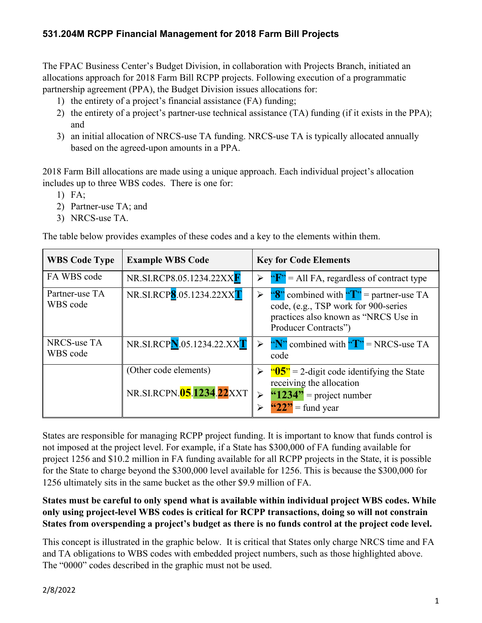### **531.204M RCPP Financial Management for 2018 Farm Bill Projects**

The FPAC Business Center's Budget Division, in collaboration with Projects Branch, initiated an allocations approach for 2018 Farm Bill RCPP projects. Following execution of a programmatic partnership agreement (PPA), the Budget Division issues allocations for:

- 1) the entirety of a project's financial assistance (FA) funding;
- 2) the entirety of a project's partner-use technical assistance (TA) funding (if it exists in the PPA); and
- 3) an initial allocation of NRCS-use TA funding. NRCS-use TA is typically allocated annually based on the agreed-upon amounts in a PPA.

2018 Farm Bill allocations are made using a unique approach. Each individual project's allocation includes up to three WBS codes. There is one for:

- 1) FA;
- 2) Partner-use TA; and
- 3) NRCS-use TA.

The table below provides examples of these codes and a key to the elements within them.

| <b>WBS Code Type</b>       | <b>Example WBS Code</b>                           | <b>Key for Code Elements</b>                                                                                                                          |
|----------------------------|---------------------------------------------------|-------------------------------------------------------------------------------------------------------------------------------------------------------|
| FA WBS code                | NR.SI.RCP8.05.1234.22XXF                          | " $F$ " = All FA, regardless of contract type<br>$\blacktriangleright$                                                                                |
| Partner-use TA<br>WBS code | NR.SI.RCP8.05.1234.22XXT                          | "8" combined with $T$ " = partner-use TA<br>⋗<br>code, (e.g., TSP work for 900-series<br>practices also known as "NRCS Use in<br>Producer Contracts") |
| NRCS-use TA<br>WBS code    | NR.SI.RCPN.05.1234.22.XXT                         | "N" combined with " $T$ " = NRCS-use TA<br>code                                                                                                       |
|                            | (Other code elements)<br>NR.SI.RCPN.05.1234.22XXT | $\mathbf{105}$ = 2-digit code identifying the State<br>receiving the allocation<br>" $1234"$ = project number<br>$\mathbf{``22"}$ = fund year         |

States are responsible for managing RCPP project funding. It is important to know that funds control is not imposed at the project level. For example, if a State has \$300,000 of FA funding available for project 1256 and \$10.2 million in FA funding available for all RCPP projects in the State, it is possible for the State to charge beyond the \$300,000 level available for 1256. This is because the \$300,000 for 1256 ultimately sits in the same bucket as the other \$9.9 million of FA.

#### **States must be careful to only spend what is available within individual project WBS codes. While only using project-level WBS codes is critical for RCPP transactions, doing so will not constrain States from overspending a project's budget as there is no funds control at the project code level.**

This concept is illustrated in the graphic below. It is critical that States only charge NRCS time and FA and TA obligations to WBS codes with embedded project numbers, such as those highlighted above. The "0000" codes described in the graphic must not be used.